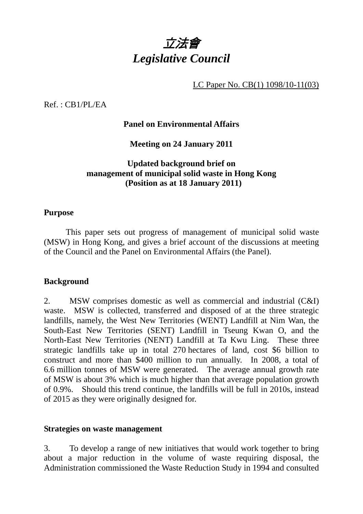

LC Paper No. CB(1) 1098/10-11(03)

 $Ref \cdot CR1/PI/EA$ 

## **Panel on Environmental Affairs**

**Meeting on 24 January 2011** 

# **Updated background brief on management of municipal solid waste in Hong Kong (Position as at 18 January 2011)**

### **Purpose**

 This paper sets out progress of management of municipal solid waste (MSW) in Hong Kong, and gives a brief account of the discussions at meeting of the Council and the Panel on Environmental Affairs (the Panel).

### **Background**

2. MSW comprises domestic as well as commercial and industrial (C&I) waste. MSW is collected, transferred and disposed of at the three strategic landfills, namely, the West New Territories (WENT) Landfill at Nim Wan, the South-East New Territories (SENT) Landfill in Tseung Kwan O, and the North-East New Territories (NENT) Landfill at Ta Kwu Ling. These three strategic landfills take up in total 270 hectares of land, cost \$6 billion to construct and more than \$400 million to run annually. In 2008, a total of 6.6 million tonnes of MSW were generated. The average annual growth rate of MSW is about 3% which is much higher than that average population growth of 0.9%. Should this trend continue, the landfills will be full in 2010s, instead of 2015 as they were originally designed for.

### **Strategies on waste management**

3. To develop a range of new initiatives that would work together to bring about a major reduction in the volume of waste requiring disposal, the Administration commissioned the Waste Reduction Study in 1994 and consulted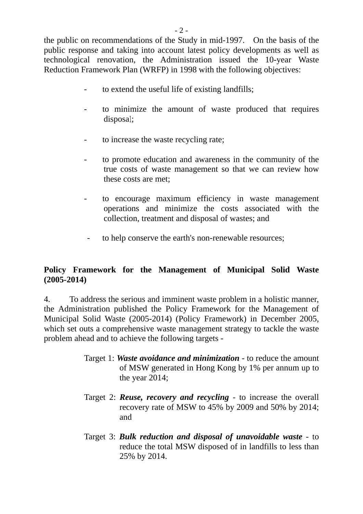the public on recommendations of the Study in mid-1997. On the basis of the public response and taking into account latest policy developments as well as technological renovation, the Administration issued the 10-year Waste Reduction Framework Plan (WRFP) in 1998 with the following objectives:

- to extend the useful life of existing landfills;
- to minimize the amount of waste produced that requires disposal;
- to increase the waste recycling rate;
- to promote education and awareness in the community of the true costs of waste management so that we can review how these costs are met;
- to encourage maximum efficiency in waste management operations and minimize the costs associated with the collection, treatment and disposal of wastes; and
- to help conserve the earth's non-renewable resources;

# **Policy Framework for the Management of Municipal Solid Waste (2005-2014)**

4. To address the serious and imminent waste problem in a holistic manner, the Administration published the Policy Framework for the Management of Municipal Solid Waste (2005-2014) (Policy Framework) in December 2005, which set outs a comprehensive waste management strategy to tackle the waste problem ahead and to achieve the following targets -

- Target 1: *Waste avoidance and minimization* to reduce the amount of MSW generated in Hong Kong by 1% per annum up to the year 2014;
- Target 2: *Reuse, recovery and recycling* to increase the overall recovery rate of MSW to 45% by 2009 and 50% by 2014; and
- Target 3: *Bulk reduction and disposal of unavoidable waste* to reduce the total MSW disposed of in landfills to less than 25% by 2014.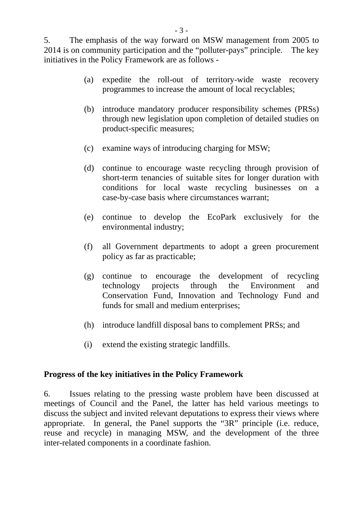5. The emphasis of the way forward on MSW management from 2005 to 2014 is on community participation and the "polluter-pays" principle. The key initiatives in the Policy Framework are as follows -

- (a) expedite the roll-out of territory-wide waste recovery programmes to increase the amount of local recyclables;
- (b) introduce mandatory producer responsibility schemes (PRSs) through new legislation upon completion of detailed studies on product-specific measures;
- (c) examine ways of introducing charging for MSW;
- (d) continue to encourage waste recycling through provision of short-term tenancies of suitable sites for longer duration with conditions for local waste recycling businesses on a case-by-case basis where circumstances warrant;
- (e) continue to develop the EcoPark exclusively for the environmental industry;
- (f) all Government departments to adopt a green procurement policy as far as practicable;
- (g) continue to encourage the development of recycling technology projects through the Environment and Conservation Fund, Innovation and Technology Fund and funds for small and medium enterprises;
- (h) introduce landfill disposal bans to complement PRSs; and
- (i) extend the existing strategic landfills.

### **Progress of the key initiatives in the Policy Framework**

6. Issues relating to the pressing waste problem have been discussed at meetings of Council and the Panel, the latter has held various meetings to discuss the subject and invited relevant deputations to express their views where appropriate. In general, the Panel supports the "3R" principle (i.e. reduce, reuse and recycle) in managing MSW, and the development of the three inter-related components in a coordinate fashion.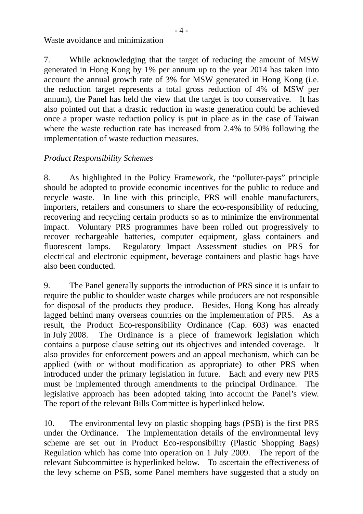Waste avoidance and minimization

7. While acknowledging that the target of reducing the amount of MSW generated in Hong Kong by 1% per annum up to the year 2014 has taken into account the annual growth rate of 3% for MSW generated in Hong Kong (i.e. the reduction target represents a total gross reduction of 4% of MSW per annum), the Panel has held the view that the target is too conservative. It has also pointed out that a drastic reduction in waste generation could be achieved once a proper waste reduction policy is put in place as in the case of Taiwan where the waste reduction rate has increased from 2.4% to 50% following the implementation of waste reduction measures.

# *Product Responsibility Schemes*

8. As highlighted in the Policy Framework, the "polluter-pays" principle should be adopted to provide economic incentives for the public to reduce and recycle waste. In line with this principle, PRS will enable manufacturers, importers, retailers and consumers to share the eco-responsibility of reducing, recovering and recycling certain products so as to minimize the environmental impact. Voluntary PRS programmes have been rolled out progressively to recover rechargeable batteries, computer equipment, glass containers and fluorescent lamps. Regulatory Impact Assessment studies on PRS for electrical and electronic equipment, beverage containers and plastic bags have also been conducted.

9. The Panel generally supports the introduction of PRS since it is unfair to require the public to shoulder waste charges while producers are not responsible for disposal of the products they produce. Besides, Hong Kong has already lagged behind many overseas countries on the implementation of PRS. As a result, the Product Eco-responsibility Ordinance (Cap. 603) was enacted in July 2008. The Ordinance is a piece of framework legislation which contains a purpose clause setting out its objectives and intended coverage. It also provides for enforcement powers and an appeal mechanism, which can be applied (with or without modification as appropriate) to other PRS when introduced under the primary legislation in future. Each and every new PRS must be implemented through amendments to the principal Ordinance. The legislative approach has been adopted taking into account the Panel's view. The report of the relevant Bills Committee is hyperlinked below.

10. The environmental levy on plastic shopping bags (PSB) is the first PRS under the Ordinance. The implementation details of the environmental levy scheme are set out in Product Eco-responsibility (Plastic Shopping Bags) Regulation which has come into operation on 1 July 2009. The report of the relevant Subcommittee is hyperlinked below. To ascertain the effectiveness of the levy scheme on PSB, some Panel members have suggested that a study on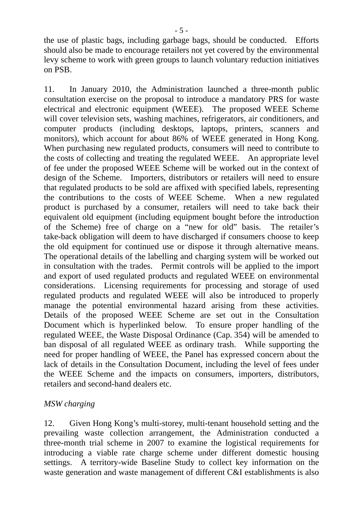the use of plastic bags, including garbage bags, should be conducted. Efforts should also be made to encourage retailers not yet covered by the environmental levy scheme to work with green groups to launch voluntary reduction initiatives on PSB.

11. In January 2010, the Administration launched a three-month public consultation exercise on the proposal to introduce a mandatory PRS for waste electrical and electronic equipment (WEEE). The proposed WEEE Scheme will cover television sets, washing machines, refrigerators, air conditioners, and computer products (including desktops, laptops, printers, scanners and monitors), which account for about 86% of WEEE generated in Hong Kong. When purchasing new regulated products, consumers will need to contribute to the costs of collecting and treating the regulated WEEE. An appropriate level of fee under the proposed WEEE Scheme will be worked out in the context of design of the Scheme. Importers, distributors or retailers will need to ensure that regulated products to be sold are affixed with specified labels, representing the contributions to the costs of WEEE Scheme. When a new regulated product is purchased by a consumer, retailers will need to take back their equivalent old equipment (including equipment bought before the introduction of the Scheme) free of charge on a "new for old" basis. The retailer's take-back obligation will deem to have discharged if consumers choose to keep the old equipment for continued use or dispose it through alternative means. The operational details of the labelling and charging system will be worked out in consultation with the trades. Permit controls will be applied to the import and export of used regulated products and regulated WEEE on environmental considerations. Licensing requirements for processing and storage of used regulated products and regulated WEEE will also be introduced to properly manage the potential environmental hazard arising from these activities. Details of the proposed WEEE Scheme are set out in the Consultation Document which is hyperlinked below. To ensure proper handling of the regulated WEEE, the Waste Disposal Ordinance (Cap. 354) will be amended to ban disposal of all regulated WEEE as ordinary trash. While supporting the need for proper handling of WEEE, the Panel has expressed concern about the lack of details in the Consultation Document, including the level of fees under the WEEE Scheme and the impacts on consumers, importers, distributors, retailers and second-hand dealers etc.

## *MSW charging*

12. Given Hong Kong's multi-storey, multi-tenant household setting and the prevailing waste collection arrangement, the Administration conducted a three-month trial scheme in 2007 to examine the logistical requirements for introducing a viable rate charge scheme under different domestic housing settings. A territory-wide Baseline Study to collect key information on the waste generation and waste management of different C&I establishments is also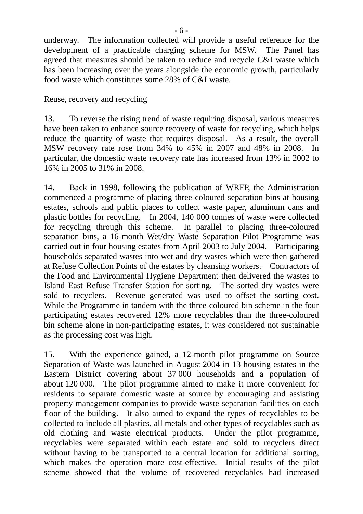underway. The information collected will provide a useful reference for the development of a practicable charging scheme for MSW. The Panel has agreed that measures should be taken to reduce and recycle C&I waste which has been increasing over the years alongside the economic growth, particularly food waste which constitutes some 28% of C&I waste.

## Reuse, recovery and recycling

13. To reverse the rising trend of waste requiring disposal, various measures have been taken to enhance source recovery of waste for recycling, which helps reduce the quantity of waste that requires disposal. As a result, the overall MSW recovery rate rose from 34% to 45% in 2007 and 48% in 2008. In particular, the domestic waste recovery rate has increased from 13% in 2002 to 16% in 2005 to 31% in 2008.

14. Back in 1998, following the publication of WRFP, the Administration commenced a programme of placing three-coloured separation bins at housing estates, schools and public places to collect waste paper, aluminum cans and plastic bottles for recycling. In 2004, 140 000 tonnes of waste were collected for recycling through this scheme. In parallel to placing three-coloured separation bins, a 16-month Wet/dry Waste Separation Pilot Programme was carried out in four housing estates from April 2003 to July 2004. Participating households separated wastes into wet and dry wastes which were then gathered at Refuse Collection Points of the estates by cleansing workers. Contractors of the Food and Environmental Hygiene Department then delivered the wastes to Island East Refuse Transfer Station for sorting. The sorted dry wastes were sold to recyclers. Revenue generated was used to offset the sorting cost. While the Programme in tandem with the three-coloured bin scheme in the four participating estates recovered 12% more recyclables than the three-coloured bin scheme alone in non-participating estates, it was considered not sustainable as the processing cost was high.

15. With the experience gained, a 12-month pilot programme on Source Separation of Waste was launched in August 2004 in 13 housing estates in the Eastern District covering about 37 000 households and a population of about 120 000. The pilot programme aimed to make it more convenient for residents to separate domestic waste at source by encouraging and assisting property management companies to provide waste separation facilities on each floor of the building. It also aimed to expand the types of recyclables to be collected to include all plastics, all metals and other types of recyclables such as old clothing and waste electrical products. Under the pilot programme, recyclables were separated within each estate and sold to recyclers direct without having to be transported to a central location for additional sorting, which makes the operation more cost-effective. Initial results of the pilot scheme showed that the volume of recovered recyclables had increased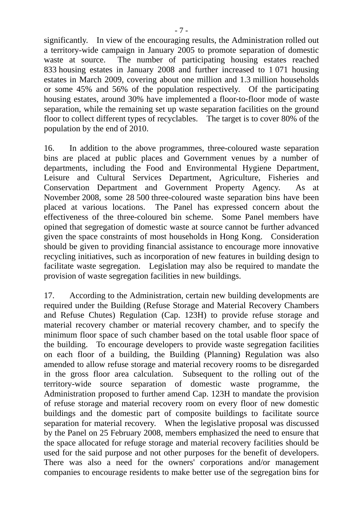significantly. In view of the encouraging results, the Administration rolled out a territory-wide campaign in January 2005 to promote separation of domestic waste at source. The number of participating housing estates reached 833 housing estates in January 2008 and further increased to 1 071 housing estates in March 2009, covering about one million and 1.3 million households or some 45% and 56% of the population respectively. Of the participating housing estates, around 30% have implemented a floor-to-floor mode of waste separation, while the remaining set up waste separation facilities on the ground floor to collect different types of recyclables. The target is to cover 80% of the population by the end of 2010.

16. In addition to the above programmes, three-coloured waste separation bins are placed at public places and Government venues by a number of departments, including the Food and Environmental Hygiene Department, Leisure and Cultural Services Department, Agriculture, Fisheries and Conservation Department and Government Property Agency. As at November 2008, some 28 500 three-coloured waste separation bins have been placed at various locations. The Panel has expressed concern about the effectiveness of the three-coloured bin scheme. Some Panel members have opined that segregation of domestic waste at source cannot be further advanced given the space constraints of most households in Hong Kong. Consideration should be given to providing financial assistance to encourage more innovative recycling initiatives, such as incorporation of new features in building design to facilitate waste segregation. Legislation may also be required to mandate the provision of waste segregation facilities in new buildings.

17. According to the Administration, certain new building developments are required under the Building (Refuse Storage and Material Recovery Chambers and Refuse Chutes) Regulation (Cap. 123H) to provide refuse storage and material recovery chamber or material recovery chamber, and to specify the minimum floor space of such chamber based on the total usable floor space of the building. To encourage developers to provide waste segregation facilities on each floor of a building, the Building (Planning) Regulation was also amended to allow refuse storage and material recovery rooms to be disregarded in the gross floor area calculation. Subsequent to the rolling out of the territory-wide source separation of domestic waste programme, the Administration proposed to further amend Cap. 123H to mandate the provision of refuse storage and material recovery room on every floor of new domestic buildings and the domestic part of composite buildings to facilitate source separation for material recovery. When the legislative proposal was discussed by the Panel on 25 February 2008, members emphasized the need to ensure that the space allocated for refuge storage and material recovery facilities should be used for the said purpose and not other purposes for the benefit of developers. There was also a need for the owners' corporations and/or management companies to encourage residents to make better use of the segregation bins for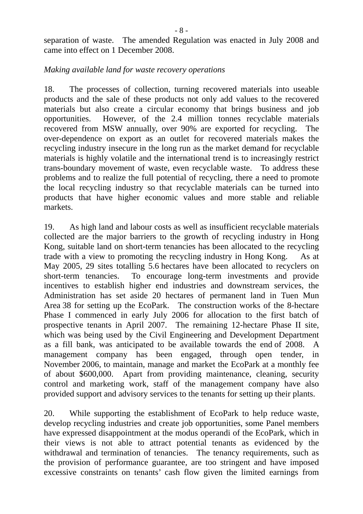separation of waste. The amended Regulation was enacted in July 2008 and came into effect on 1 December 2008.

## *Making available land for waste recovery operations*

18. The processes of collection, turning recovered materials into useable products and the sale of these products not only add values to the recovered materials but also create a circular economy that brings business and job opportunities. However, of the 2.4 million tonnes recyclable materials recovered from MSW annually, over 90% are exported for recycling. The over-dependence on export as an outlet for recovered materials makes the recycling industry insecure in the long run as the market demand for recyclable materials is highly volatile and the international trend is to increasingly restrict trans-boundary movement of waste, even recyclable waste. To address these problems and to realize the full potential of recycling, there a need to promote the local recycling industry so that recyclable materials can be turned into products that have higher economic values and more stable and reliable markets.

19. As high land and labour costs as well as insufficient recyclable materials collected are the major barriers to the growth of recycling industry in Hong Kong, suitable land on short-term tenancies has been allocated to the recycling trade with a view to promoting the recycling industry in Hong Kong. As at May 2005, 29 sites totalling 5.6 hectares have been allocated to recyclers on short-term tenancies. To encourage long-term investments and provide incentives to establish higher end industries and downstream services, the Administration has set aside 20 hectares of permanent land in Tuen Mun Area 38 for setting up the EcoPark. The construction works of the 8-hectare Phase I commenced in early July 2006 for allocation to the first batch of prospective tenants in April 2007. The remaining 12-hectare Phase II site, which was being used by the Civil Engineering and Development Department as a fill bank, was anticipated to be available towards the end of 2008. A management company has been engaged, through open tender, in November 2006, to maintain, manage and market the EcoPark at a monthly fee of about \$600,000. Apart from providing maintenance, cleaning, security control and marketing work, staff of the management company have also provided support and advisory services to the tenants for setting up their plants.

20. While supporting the establishment of EcoPark to help reduce waste, develop recycling industries and create job opportunities, some Panel members have expressed disappointment at the modus operandi of the EcoPark, which in their views is not able to attract potential tenants as evidenced by the withdrawal and termination of tenancies. The tenancy requirements, such as the provision of performance guarantee, are too stringent and have imposed excessive constraints on tenants' cash flow given the limited earnings from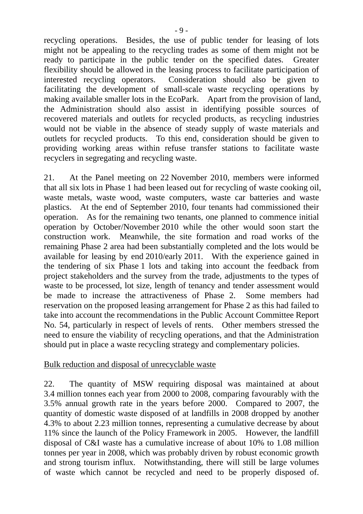recycling operations. Besides, the use of public tender for leasing of lots might not be appealing to the recycling trades as some of them might not be ready to participate in the public tender on the specified dates. Greater flexibility should be allowed in the leasing process to facilitate participation of interested recycling operators. Consideration should also be given to facilitating the development of small-scale waste recycling operations by making available smaller lots in the EcoPark. Apart from the provision of land, the Administration should also assist in identifying possible sources of recovered materials and outlets for recycled products, as recycling industries would not be viable in the absence of steady supply of waste materials and outlets for recycled products. To this end, consideration should be given to providing working areas within refuse transfer stations to facilitate waste recyclers in segregating and recycling waste.

21. At the Panel meeting on 22 November 2010, members were informed that all six lots in Phase 1 had been leased out for recycling of waste cooking oil, waste metals, waste wood, waste computers, waste car batteries and waste plastics. At the end of September 2010, four tenants had commissioned their operation. As for the remaining two tenants, one planned to commence initial operation by October/November 2010 while the other would soon start the construction work. Meanwhile, the site formation and road works of the remaining Phase 2 area had been substantially completed and the lots would be available for leasing by end 2010/early 2011. With the experience gained in the tendering of six Phase 1 lots and taking into account the feedback from project stakeholders and the survey from the trade, adjustments to the types of waste to be processed, lot size, length of tenancy and tender assessment would be made to increase the attractiveness of Phase 2. Some members had reservation on the proposed leasing arrangement for Phase 2 as this had failed to take into account the recommendations in the Public Account Committee Report No. 54, particularly in respect of levels of rents. Other members stressed the need to ensure the viability of recycling operations, and that the Administration should put in place a waste recycling strategy and complementary policies.

## Bulk reduction and disposal of unrecyclable waste

22. The quantity of MSW requiring disposal was maintained at about 3.4 million tonnes each year from 2000 to 2008, comparing favourably with the 3.5% annual growth rate in the years before 2000. Compared to 2007, the quantity of domestic waste disposed of at landfills in 2008 dropped by another 4.3% to about 2.23 million tonnes, representing a cumulative decrease by about 11% since the launch of the Policy Framework in 2005. However, the landfill disposal of C&I waste has a cumulative increase of about 10% to 1.08 million tonnes per year in 2008, which was probably driven by robust economic growth and strong tourism influx. Notwithstanding, there will still be large volumes of waste which cannot be recycled and need to be properly disposed of.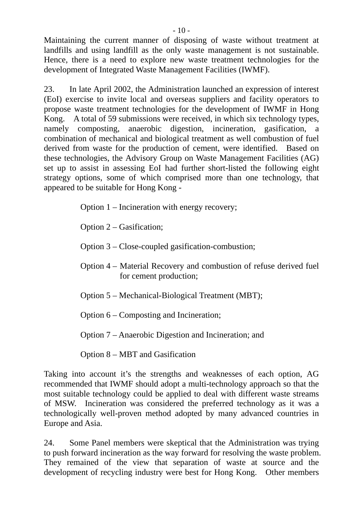Maintaining the current manner of disposing of waste without treatment at landfills and using landfill as the only waste management is not sustainable. Hence, there is a need to explore new waste treatment technologies for the development of Integrated Waste Management Facilities (IWMF).

23. In late April 2002, the Administration launched an expression of interest (EoI) exercise to invite local and overseas suppliers and facility operators to propose waste treatment technologies for the development of IWMF in Hong Kong. A total of 59 submissions were received, in which six technology types, namely composting, anaerobic digestion, incineration, gasification, a combination of mechanical and biological treatment as well combustion of fuel derived from waste for the production of cement, were identified. Based on these technologies, the Advisory Group on Waste Management Facilities (AG) set up to assist in assessing EoI had further short-listed the following eight strategy options, some of which comprised more than one technology, that appeared to be suitable for Hong Kong -

Option 1 – Incineration with energy recovery;

Option 2 – Gasification;

Option 3 – Close-coupled gasification-combustion;

- Option 4 Material Recovery and combustion of refuse derived fuel for cement production;
- Option 5 Mechanical-Biological Treatment (MBT);

Option 6 – Composting and Incineration;

Option 7 – Anaerobic Digestion and Incineration; and

Option 8 – MBT and Gasification

Taking into account it's the strengths and weaknesses of each option, AG recommended that IWMF should adopt a multi-technology approach so that the most suitable technology could be applied to deal with different waste streams of MSW. Incineration was considered the preferred technology as it was a technologically well-proven method adopted by many advanced countries in Europe and Asia.

24. Some Panel members were skeptical that the Administration was trying to push forward incineration as the way forward for resolving the waste problem. They remained of the view that separation of waste at source and the development of recycling industry were best for Hong Kong. Other members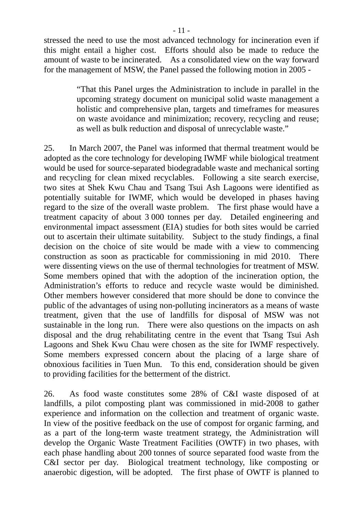stressed the need to use the most advanced technology for incineration even if this might entail a higher cost. Efforts should also be made to reduce the amount of waste to be incinerated. As a consolidated view on the way forward for the management of MSW, the Panel passed the following motion in 2005 -

> "That this Panel urges the Administration to include in parallel in the upcoming strategy document on municipal solid waste management a holistic and comprehensive plan, targets and timeframes for measures on waste avoidance and minimization; recovery, recycling and reuse; as well as bulk reduction and disposal of unrecyclable waste."

25. In March 2007, the Panel was informed that thermal treatment would be adopted as the core technology for developing IWMF while biological treatment would be used for source-separated biodegradable waste and mechanical sorting and recycling for clean mixed recyclables. Following a site search exercise, two sites at Shek Kwu Chau and Tsang Tsui Ash Lagoons were identified as potentially suitable for IWMF, which would be developed in phases having regard to the size of the overall waste problem. The first phase would have a treatment capacity of about 3 000 tonnes per day. Detailed engineering and environmental impact assessment (EIA) studies for both sites would be carried out to ascertain their ultimate suitability. Subject to the study findings, a final decision on the choice of site would be made with a view to commencing construction as soon as practicable for commissioning in mid 2010. There were dissenting views on the use of thermal technologies for treatment of MSW. Some members opined that with the adoption of the incineration option, the Administration's efforts to reduce and recycle waste would be diminished. Other members however considered that more should be done to convince the public of the advantages of using non-polluting incinerators as a means of waste treatment, given that the use of landfills for disposal of MSW was not sustainable in the long run. There were also questions on the impacts on ash disposal and the drug rehabilitating centre in the event that Tsang Tsui Ash Lagoons and Shek Kwu Chau were chosen as the site for IWMF respectively. Some members expressed concern about the placing of a large share of obnoxious facilities in Tuen Mun. To this end, consideration should be given to providing facilities for the betterment of the district.

26. As food waste constitutes some 28% of C&I waste disposed of at landfills, a pilot composting plant was commissioned in mid-2008 to gather experience and information on the collection and treatment of organic waste. In view of the positive feedback on the use of compost for organic farming, and as a part of the long-term waste treatment strategy, the Administration will develop the Organic Waste Treatment Facilities (OWTF) in two phases, with each phase handling about 200 tonnes of source separated food waste from the C&I sector per day. Biological treatment technology, like composting or anaerobic digestion, will be adopted. The first phase of OWTF is planned to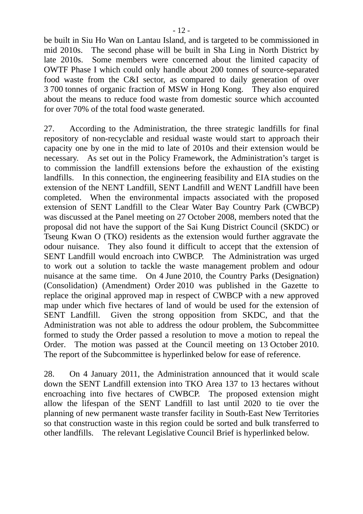be built in Siu Ho Wan on Lantau Island, and is targeted to be commissioned in mid 2010s. The second phase will be built in Sha Ling in North District by late 2010s. Some members were concerned about the limited capacity of OWTF Phase I which could only handle about 200 tonnes of source-separated food waste from the C&I sector, as compared to daily generation of over 3 700 tonnes of organic fraction of MSW in Hong Kong. They also enquired about the means to reduce food waste from domestic source which accounted for over 70% of the total food waste generated.

27. According to the Administration, the three strategic landfills for final repository of non-recyclable and residual waste would start to approach their capacity one by one in the mid to late of 2010s and their extension would be necessary. As set out in the Policy Framework, the Administration's target is to commission the landfill extensions before the exhaustion of the existing landfills. In this connection, the engineering feasibility and EIA studies on the extension of the NENT Landfill, SENT Landfill and WENT Landfill have been completed. When the environmental impacts associated with the proposed extension of SENT Landfill to the Clear Water Bay Country Park (CWBCP) was discussed at the Panel meeting on 27 October 2008, members noted that the proposal did not have the support of the Sai Kung District Council (SKDC) or Tseung Kwan O (TKO) residents as the extension would further aggravate the odour nuisance. They also found it difficult to accept that the extension of SENT Landfill would encroach into CWBCP. The Administration was urged to work out a solution to tackle the waste management problem and odour nuisance at the same time. On 4 June 2010, the Country Parks (Designation) (Consolidation) (Amendment) Order 2010 was published in the Gazette to replace the original approved map in respect of CWBCP with a new approved map under which five hectares of land of would be used for the extension of SENT Landfill. Given the strong opposition from SKDC, and that the Administration was not able to address the odour problem, the Subcommittee formed to study the Order passed a resolution to move a motion to repeal the Order. The motion was passed at the Council meeting on 13 October 2010. The report of the Subcommittee is hyperlinked below for ease of reference.

28. On 4 January 2011, the Administration announced that it would scale down the SENT Landfill extension into TKO Area 137 to 13 hectares without encroaching into five hectares of CWBCP. The proposed extension might allow the lifespan of the SENT Landfill to last until 2020 to tie over the planning of new permanent waste transfer facility in South-East New Territories so that construction waste in this region could be sorted and bulk transferred to other landfills. The relevant Legislative Council Brief is hyperlinked below.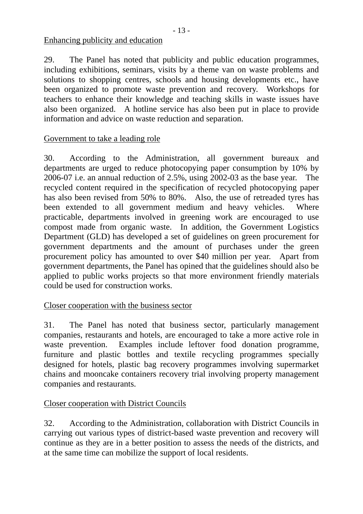## Enhancing publicity and education

29. The Panel has noted that publicity and public education programmes, including exhibitions, seminars, visits by a theme van on waste problems and solutions to shopping centres, schools and housing developments etc., have been organized to promote waste prevention and recovery. Workshops for teachers to enhance their knowledge and teaching skills in waste issues have also been organized. A hotline service has also been put in place to provide information and advice on waste reduction and separation.

# Government to take a leading role

30. According to the Administration, all government bureaux and departments are urged to reduce photocopying paper consumption by 10% by 2006-07 i.e. an annual reduction of 2.5%, using 2002-03 as the base year. The recycled content required in the specification of recycled photocopying paper has also been revised from 50% to 80%. Also, the use of retreaded tyres has been extended to all government medium and heavy vehicles. Where practicable, departments involved in greening work are encouraged to use compost made from organic waste. In addition, the Government Logistics Department (GLD) has developed a set of guidelines on green procurement for government departments and the amount of purchases under the green procurement policy has amounted to over \$40 million per year. Apart from government departments, the Panel has opined that the guidelines should also be applied to public works projects so that more environment friendly materials could be used for construction works.

## Closer cooperation with the business sector

31. The Panel has noted that business sector, particularly management companies, restaurants and hotels, are encouraged to take a more active role in waste prevention. Examples include leftover food donation programme, furniture and plastic bottles and textile recycling programmes specially designed for hotels, plastic bag recovery programmes involving supermarket chains and mooncake containers recovery trial involving property management companies and restaurants.

# Closer cooperation with District Councils

32. According to the Administration, collaboration with District Councils in carrying out various types of district-based waste prevention and recovery will continue as they are in a better position to assess the needs of the districts, and at the same time can mobilize the support of local residents.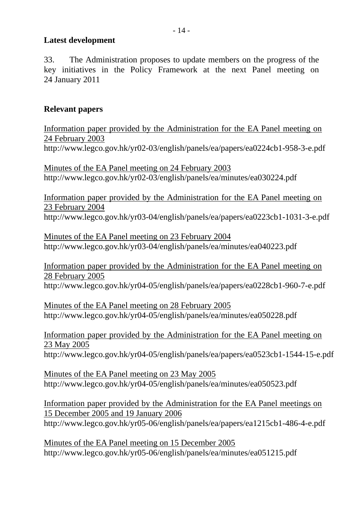### **Latest development**

33. The Administration proposes to update members on the progress of the key initiatives in the Policy Framework at the next Panel meeting on 24 January 2011

# **Relevant papers**

Information paper provided by the Administration for the EA Panel meeting on 24 February 2003 http://www.legco.gov.hk/yr02-03/english/panels/ea/papers/ea0224cb1-958-3-e.pdf

Minutes of the EA Panel meeting on 24 February 2003 http://www.legco.gov.hk/yr02-03/english/panels/ea/minutes/ea030224.pdf

Information paper provided by the Administration for the EA Panel meeting on 23 February 2004 http://www.legco.gov.hk/yr03-04/english/panels/ea/papers/ea0223cb1-1031-3-e.pdf

Minutes of the EA Panel meeting on 23 February 2004 http://www.legco.gov.hk/yr03-04/english/panels/ea/minutes/ea040223.pdf

Information paper provided by the Administration for the EA Panel meeting on 28 February 2005 http://www.legco.gov.hk/yr04-05/english/panels/ea/papers/ea0228cb1-960-7-e.pdf

Minutes of the EA Panel meeting on 28 February 2005 http://www.legco.gov.hk/yr04-05/english/panels/ea/minutes/ea050228.pdf

Information paper provided by the Administration for the EA Panel meeting on 23 May 2005 http://www.legco.gov.hk/yr04-05/english/panels/ea/papers/ea0523cb1-1544-15-e.pdf

Minutes of the EA Panel meeting on 23 May 2005 http://www.legco.gov.hk/yr04-05/english/panels/ea/minutes/ea050523.pdf

Information paper provided by the Administration for the EA Panel meetings on 15 December 2005 and 19 January 2006 http://www.legco.gov.hk/yr05-06/english/panels/ea/papers/ea1215cb1-486-4-e.pdf

Minutes of the EA Panel meeting on 15 December 2005 http://www.legco.gov.hk/yr05-06/english/panels/ea/minutes/ea051215.pdf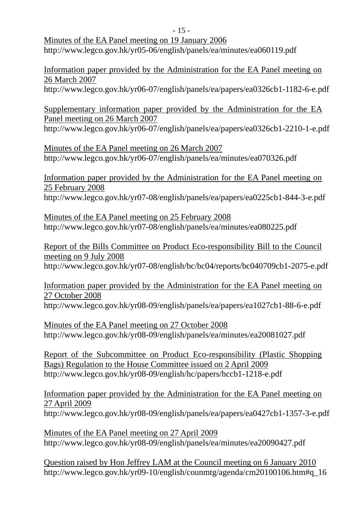- 15 - Minutes of the EA Panel meeting on 19 January 2006 http://www.legco.gov.hk/yr05-06/english/panels/ea/minutes/ea060119.pdf

Information paper provided by the Administration for the EA Panel meeting on 26 March 2007

http://www.legco.gov.hk/yr06-07/english/panels/ea/papers/ea0326cb1-1182-6-e.pdf

Supplementary information paper provided by the Administration for the EA Panel meeting on 26 March 2007 http://www.legco.gov.hk/yr06-07/english/panels/ea/papers/ea0326cb1-2210-1-e.pdf

Minutes of the EA Panel meeting on 26 March 2007 http://www.legco.gov.hk/yr06-07/english/panels/ea/minutes/ea070326.pdf

Information paper provided by the Administration for the EA Panel meeting on 25 February 2008 http://www.legco.gov.hk/yr07-08/english/panels/ea/papers/ea0225cb1-844-3-e.pdf

Minutes of the EA Panel meeting on 25 February 2008 http://www.legco.gov.hk/yr07-08/english/panels/ea/minutes/ea080225.pdf

Report of the Bills Committee on Product Eco-responsibility Bill to the Council meeting on 9 July 2008 http://www.legco.gov.hk/yr07-08/english/bc/bc04/reports/bc040709cb1-2075-e.pdf

Information paper provided by the Administration for the EA Panel meeting on 27 October 2008 http://www.legco.gov.hk/yr08-09/english/panels/ea/papers/ea1027cb1-88-6-e.pdf

Minutes of the EA Panel meeting on 27 October 2008 http://www.legco.gov.hk/yr08-09/english/panels/ea/minutes/ea20081027.pdf

Report of the Subcommittee on Product Eco-responsibility (Plastic Shopping Bags) Regulation to the House Committee issued on 2 April 2009 http://www.legco.gov.hk/yr08-09/english/hc/papers/hccb1-1218-e.pdf

Information paper provided by the Administration for the EA Panel meeting on 27 April 2009 http://www.legco.gov.hk/yr08-09/english/panels/ea/papers/ea0427cb1-1357-3-e.pdf

Minutes of the EA Panel meeting on 27 April 2009 http://www.legco.gov.hk/yr08-09/english/panels/ea/minutes/ea20090427.pdf

Question raised by Hon Jeffrey LAM at the Council meeting on 6 January 2010 http://www.legco.gov.hk/yr09-10/english/counmtg/agenda/cm20100106.htm#q\_16